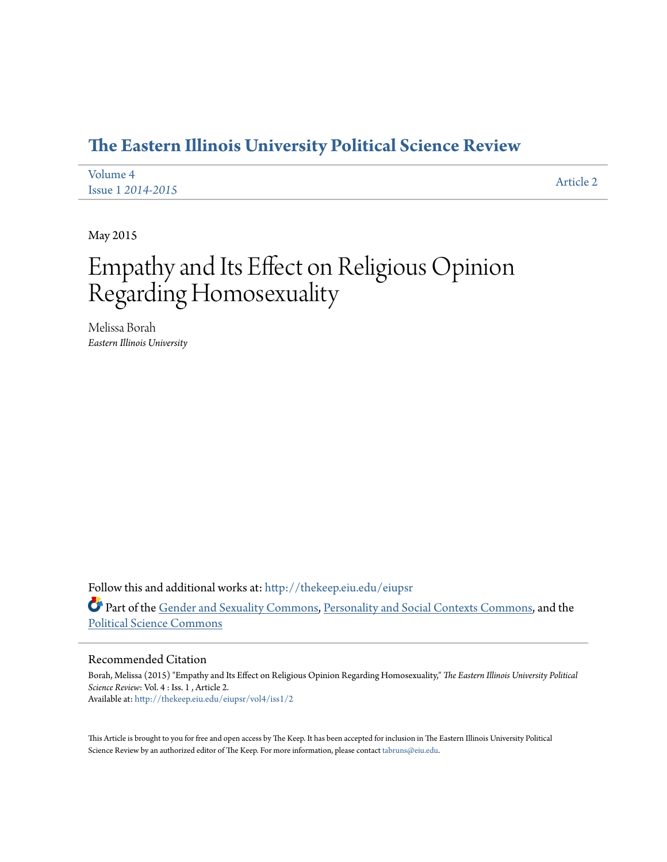# **[The Eastern Illinois University Political Science Review](http://thekeep.eiu.edu/eiupsr?utm_source=thekeep.eiu.edu%2Feiupsr%2Fvol4%2Fiss1%2F2&utm_medium=PDF&utm_campaign=PDFCoverPages)**

| Volume 4                 | Article 2 |
|--------------------------|-----------|
| <b>Issue 1 2014-2015</b> |           |

May 2015

# Empathy and Its Effect on Religious Opinion Regarding Homosexuality

Melissa Borah *Eastern Illinois University*

Follow this and additional works at: [http://thekeep.eiu.edu/eiupsr](http://thekeep.eiu.edu/eiupsr?utm_source=thekeep.eiu.edu%2Feiupsr%2Fvol4%2Fiss1%2F2&utm_medium=PDF&utm_campaign=PDFCoverPages) Part of the [Gender and Sexuality Commons](http://network.bepress.com/hgg/discipline/420?utm_source=thekeep.eiu.edu%2Feiupsr%2Fvol4%2Fiss1%2F2&utm_medium=PDF&utm_campaign=PDFCoverPages), [Personality and Social Contexts Commons,](http://network.bepress.com/hgg/discipline/413?utm_source=thekeep.eiu.edu%2Feiupsr%2Fvol4%2Fiss1%2F2&utm_medium=PDF&utm_campaign=PDFCoverPages) and the [Political Science Commons](http://network.bepress.com/hgg/discipline/386?utm_source=thekeep.eiu.edu%2Feiupsr%2Fvol4%2Fiss1%2F2&utm_medium=PDF&utm_campaign=PDFCoverPages)

#### Recommended Citation

Borah, Melissa (2015) "Empathy and Its Effect on Religious Opinion Regarding Homosexuality," *The Eastern Illinois University Political Science Review*: Vol. 4 : Iss. 1 , Article 2. Available at: [http://thekeep.eiu.edu/eiupsr/vol4/iss1/2](http://thekeep.eiu.edu/eiupsr/vol4/iss1/2?utm_source=thekeep.eiu.edu%2Feiupsr%2Fvol4%2Fiss1%2F2&utm_medium=PDF&utm_campaign=PDFCoverPages)

This Article is brought to you for free and open access by The Keep. It has been accepted for inclusion in The Eastern Illinois University Political Science Review by an authorized editor of The Keep. For more information, please contact [tabruns@eiu.edu](mailto:tabruns@eiu.edu).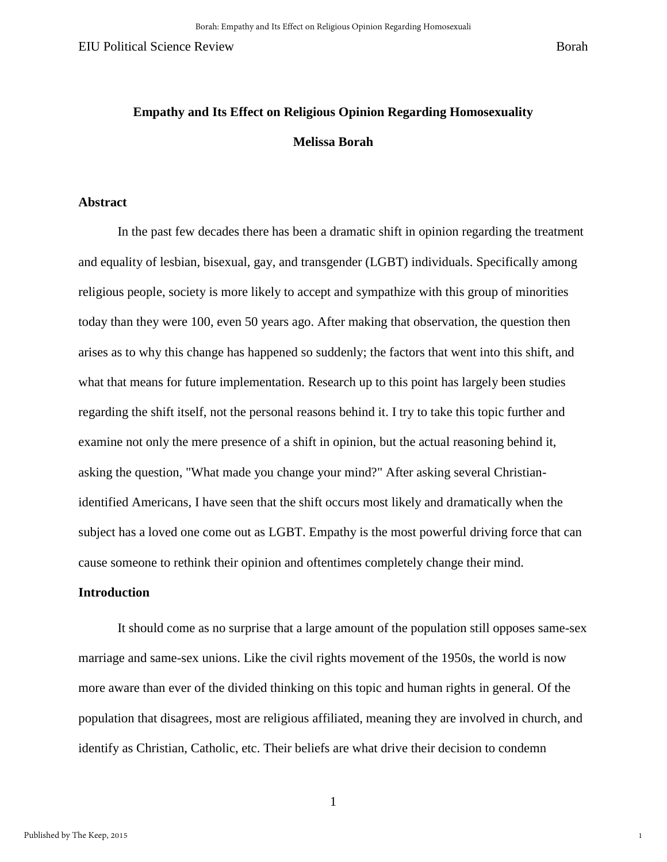1

# **Empathy and Its Effect on Religious Opinion Regarding Homosexuality Melissa Borah**

#### **Abstract**

In the past few decades there has been a dramatic shift in opinion regarding the treatment and equality of lesbian, bisexual, gay, and transgender (LGBT) individuals. Specifically among religious people, society is more likely to accept and sympathize with this group of minorities today than they were 100, even 50 years ago. After making that observation, the question then arises as to why this change has happened so suddenly; the factors that went into this shift, and what that means for future implementation. Research up to this point has largely been studies regarding the shift itself, not the personal reasons behind it. I try to take this topic further and examine not only the mere presence of a shift in opinion, but the actual reasoning behind it, asking the question, "What made you change your mind?" After asking several Christianidentified Americans, I have seen that the shift occurs most likely and dramatically when the subject has a loved one come out as LGBT. Empathy is the most powerful driving force that can cause someone to rethink their opinion and oftentimes completely change their mind.

#### **Introduction**

It should come as no surprise that a large amount of the population still opposes same-sex marriage and same-sex unions. Like the civil rights movement of the 1950s, the world is now more aware than ever of the divided thinking on this topic and human rights in general. Of the population that disagrees, most are religious affiliated, meaning they are involved in church, and identify as Christian, Catholic, etc. Their beliefs are what drive their decision to condemn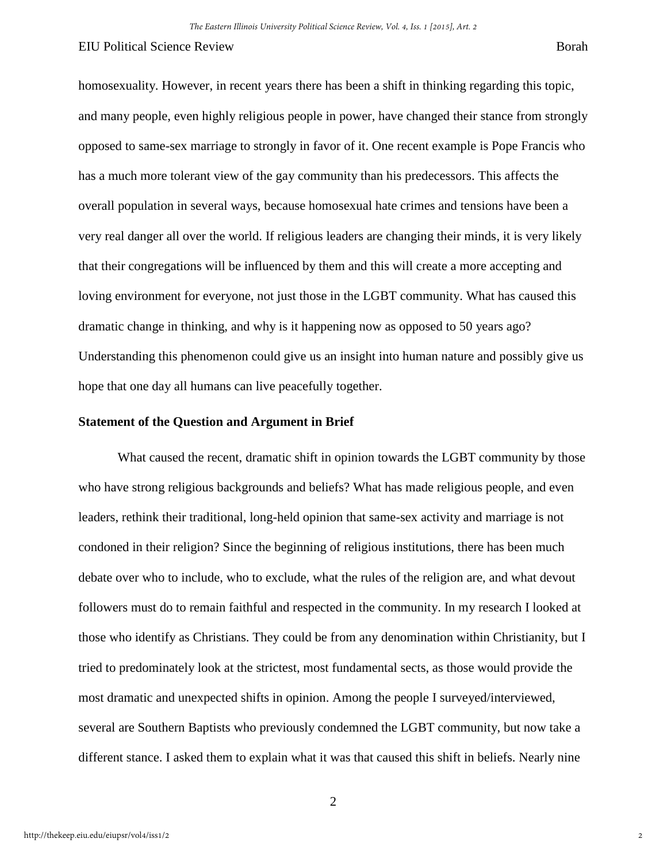homosexuality. However, in recent years there has been a shift in thinking regarding this topic, and many people, even highly religious people in power, have changed their stance from strongly opposed to same-sex marriage to strongly in favor of it. One recent example is Pope Francis who has a much more tolerant view of the gay community than his predecessors. This affects the overall population in several ways, because homosexual hate crimes and tensions have been a very real danger all over the world. If religious leaders are changing their minds, it is very likely that their congregations will be influenced by them and this will create a more accepting and loving environment for everyone, not just those in the LGBT community. What has caused this dramatic change in thinking, and why is it happening now as opposed to 50 years ago? Understanding this phenomenon could give us an insight into human nature and possibly give us hope that one day all humans can live peacefully together.

# **Statement of the Question and Argument in Brief**

What caused the recent, dramatic shift in opinion towards the LGBT community by those who have strong religious backgrounds and beliefs? What has made religious people, and even leaders, rethink their traditional, long-held opinion that same-sex activity and marriage is not condoned in their religion? Since the beginning of religious institutions, there has been much debate over who to include, who to exclude, what the rules of the religion are, and what devout followers must do to remain faithful and respected in the community. In my research I looked at those who identify as Christians. They could be from any denomination within Christianity, but I tried to predominately look at the strictest, most fundamental sects, as those would provide the most dramatic and unexpected shifts in opinion. Among the people I surveyed/interviewed, several are Southern Baptists who previously condemned the LGBT community, but now take a different stance. I asked them to explain what it was that caused this shift in beliefs. Nearly nine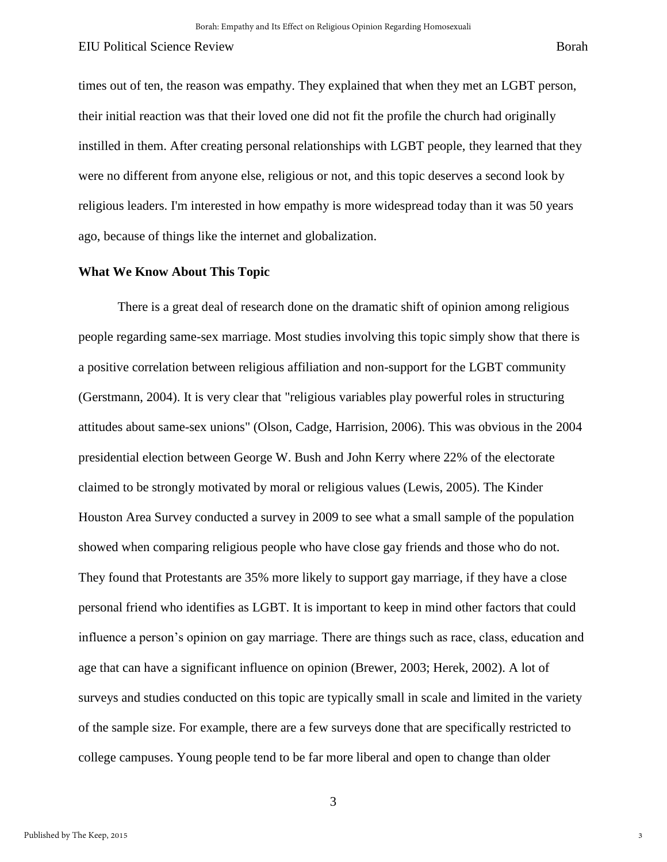times out of ten, the reason was empathy. They explained that when they met an LGBT person, their initial reaction was that their loved one did not fit the profile the church had originally instilled in them. After creating personal relationships with LGBT people, they learned that they were no different from anyone else, religious or not, and this topic deserves a second look by religious leaders. I'm interested in how empathy is more widespread today than it was 50 years ago, because of things like the internet and globalization.

# **What We Know About This Topic**

There is a great deal of research done on the dramatic shift of opinion among religious people regarding same-sex marriage. Most studies involving this topic simply show that there is a positive correlation between religious affiliation and non-support for the LGBT community (Gerstmann, 2004). It is very clear that "religious variables play powerful roles in structuring attitudes about same-sex unions" (Olson, Cadge, Harrision, 2006). This was obvious in the 2004 presidential election between George W. Bush and John Kerry where 22% of the electorate claimed to be strongly motivated by moral or religious values (Lewis, 2005). The Kinder Houston Area Survey conducted a survey in 2009 to see what a small sample of the population showed when comparing religious people who have close gay friends and those who do not. They found that Protestants are 35% more likely to support gay marriage, if they have a close personal friend who identifies as LGBT. It is important to keep in mind other factors that could influence a person's opinion on gay marriage. There are things such as race, class, education and age that can have a significant influence on opinion (Brewer, 2003; Herek, 2002). A lot of surveys and studies conducted on this topic are typically small in scale and limited in the variety of the sample size. For example, there are a few surveys done that are specifically restricted to college campuses. Young people tend to be far more liberal and open to change than older

3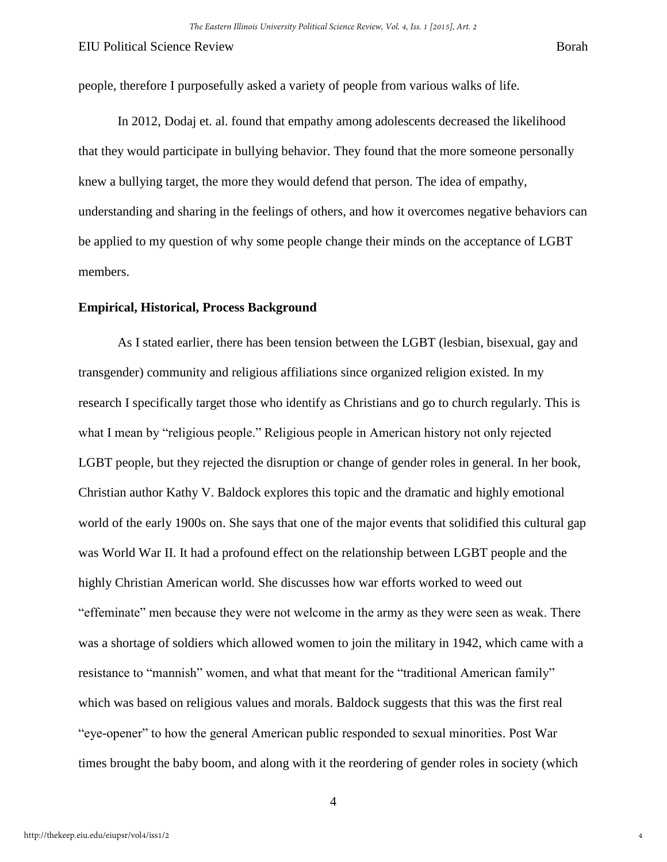4

people, therefore I purposefully asked a variety of people from various walks of life.

In 2012, Dodaj et. al. found that empathy among adolescents decreased the likelihood that they would participate in bullying behavior. They found that the more someone personally knew a bullying target, the more they would defend that person. The idea of empathy, understanding and sharing in the feelings of others, and how it overcomes negative behaviors can be applied to my question of why some people change their minds on the acceptance of LGBT members.

#### **Empirical, Historical, Process Background**

As I stated earlier, there has been tension between the LGBT (lesbian, bisexual, gay and transgender) community and religious affiliations since organized religion existed. In my research I specifically target those who identify as Christians and go to church regularly. This is what I mean by "religious people." Religious people in American history not only rejected LGBT people, but they rejected the disruption or change of gender roles in general. In her book, Christian author Kathy V. Baldock explores this topic and the dramatic and highly emotional world of the early 1900s on. She says that one of the major events that solidified this cultural gap was World War II. It had a profound effect on the relationship between LGBT people and the highly Christian American world. She discusses how war efforts worked to weed out "effeminate" men because they were not welcome in the army as they were seen as weak. There was a shortage of soldiers which allowed women to join the military in 1942, which came with a resistance to "mannish" women, and what that meant for the "traditional American family" which was based on religious values and morals. Baldock suggests that this was the first real "eye-opener" to how the general American public responded to sexual minorities. Post War times brought the baby boom, and along with it the reordering of gender roles in society (which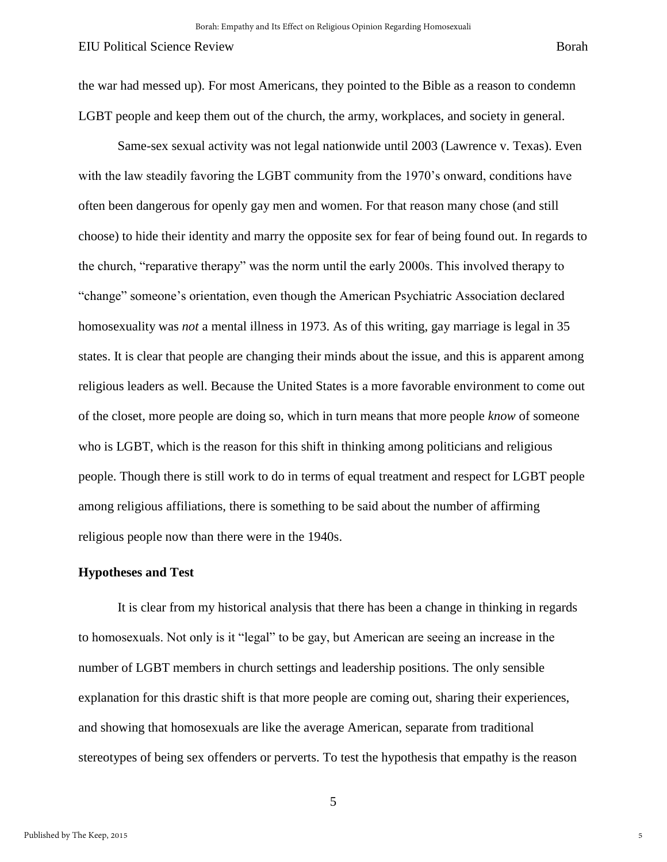the war had messed up). For most Americans, they pointed to the Bible as a reason to condemn LGBT people and keep them out of the church, the army, workplaces, and society in general.

Same-sex sexual activity was not legal nationwide until 2003 (Lawrence v. Texas). Even with the law steadily favoring the LGBT community from the 1970's onward, conditions have often been dangerous for openly gay men and women. For that reason many chose (and still choose) to hide their identity and marry the opposite sex for fear of being found out. In regards to the church, "reparative therapy" was the norm until the early 2000s. This involved therapy to "change" someone's orientation, even though the American Psychiatric Association declared homosexuality was *not* a mental illness in 1973. As of this writing, gay marriage is legal in 35 states. It is clear that people are changing their minds about the issue, and this is apparent among religious leaders as well. Because the United States is a more favorable environment to come out of the closet, more people are doing so, which in turn means that more people *know* of someone who is LGBT, which is the reason for this shift in thinking among politicians and religious people. Though there is still work to do in terms of equal treatment and respect for LGBT people among religious affiliations, there is something to be said about the number of affirming religious people now than there were in the 1940s.

## **Hypotheses and Test**

It is clear from my historical analysis that there has been a change in thinking in regards to homosexuals. Not only is it "legal" to be gay, but American are seeing an increase in the number of LGBT members in church settings and leadership positions. The only sensible explanation for this drastic shift is that more people are coming out, sharing their experiences, and showing that homosexuals are like the average American, separate from traditional stereotypes of being sex offenders or perverts. To test the hypothesis that empathy is the reason

5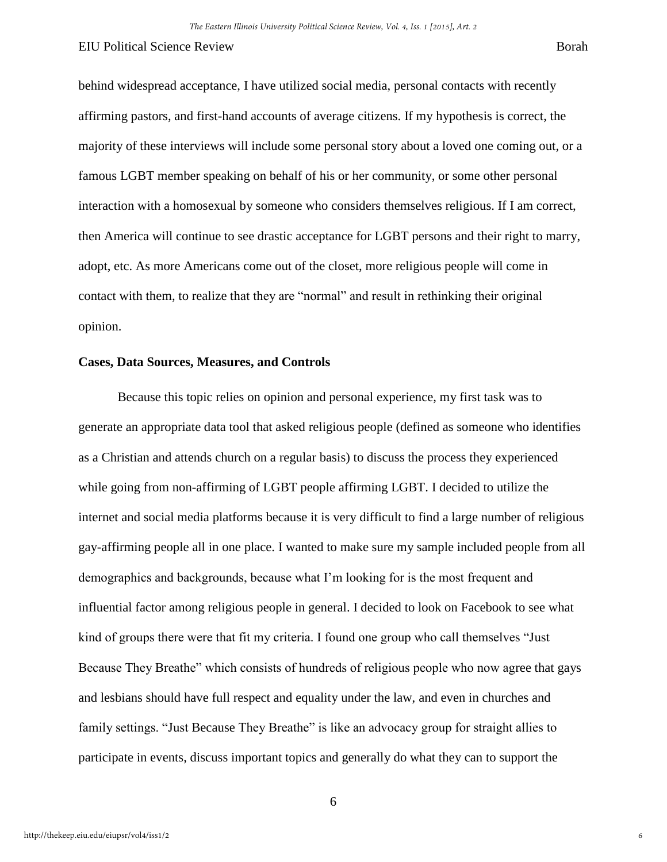behind widespread acceptance, I have utilized social media, personal contacts with recently affirming pastors, and first-hand accounts of average citizens. If my hypothesis is correct, the majority of these interviews will include some personal story about a loved one coming out, or a famous LGBT member speaking on behalf of his or her community, or some other personal interaction with a homosexual by someone who considers themselves religious. If I am correct, then America will continue to see drastic acceptance for LGBT persons and their right to marry, adopt, etc. As more Americans come out of the closet, more religious people will come in contact with them, to realize that they are "normal" and result in rethinking their original opinion.

## **Cases, Data Sources, Measures, and Controls**

Because this topic relies on opinion and personal experience, my first task was to generate an appropriate data tool that asked religious people (defined as someone who identifies as a Christian and attends church on a regular basis) to discuss the process they experienced while going from non-affirming of LGBT people affirming LGBT. I decided to utilize the internet and social media platforms because it is very difficult to find a large number of religious gay-affirming people all in one place. I wanted to make sure my sample included people from all demographics and backgrounds, because what I'm looking for is the most frequent and influential factor among religious people in general. I decided to look on Facebook to see what kind of groups there were that fit my criteria. I found one group who call themselves "Just Because They Breathe" which consists of hundreds of religious people who now agree that gays and lesbians should have full respect and equality under the law, and even in churches and family settings. "Just Because They Breathe" is like an advocacy group for straight allies to participate in events, discuss important topics and generally do what they can to support the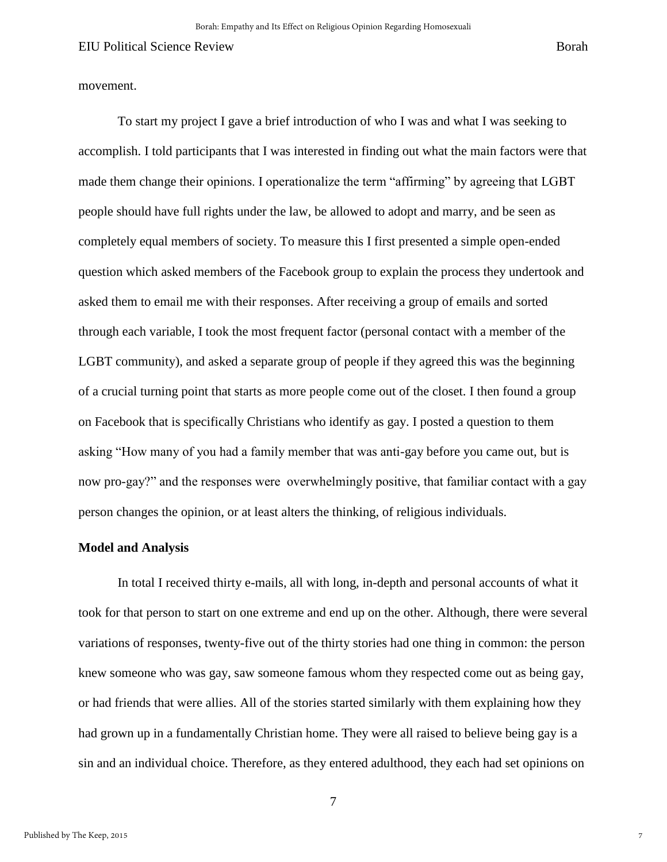movement.

To start my project I gave a brief introduction of who I was and what I was seeking to accomplish. I told participants that I was interested in finding out what the main factors were that made them change their opinions. I operationalize the term "affirming" by agreeing that LGBT people should have full rights under the law, be allowed to adopt and marry, and be seen as completely equal members of society. To measure this I first presented a simple open-ended question which asked members of the Facebook group to explain the process they undertook and asked them to email me with their responses. After receiving a group of emails and sorted through each variable, I took the most frequent factor (personal contact with a member of the LGBT community), and asked a separate group of people if they agreed this was the beginning of a crucial turning point that starts as more people come out of the closet. I then found a group on Facebook that is specifically Christians who identify as gay. I posted a question to them asking "How many of you had a family member that was anti-gay before you came out, but is now pro-gay?" and the responses were overwhelmingly positive, that familiar contact with a gay person changes the opinion, or at least alters the thinking, of religious individuals.

#### **Model and Analysis**

In total I received thirty e-mails, all with long, in-depth and personal accounts of what it took for that person to start on one extreme and end up on the other. Although, there were several variations of responses, twenty-five out of the thirty stories had one thing in common: the person knew someone who was gay, saw someone famous whom they respected come out as being gay, or had friends that were allies. All of the stories started similarly with them explaining how they had grown up in a fundamentally Christian home. They were all raised to believe being gay is a sin and an individual choice. Therefore, as they entered adulthood, they each had set opinions on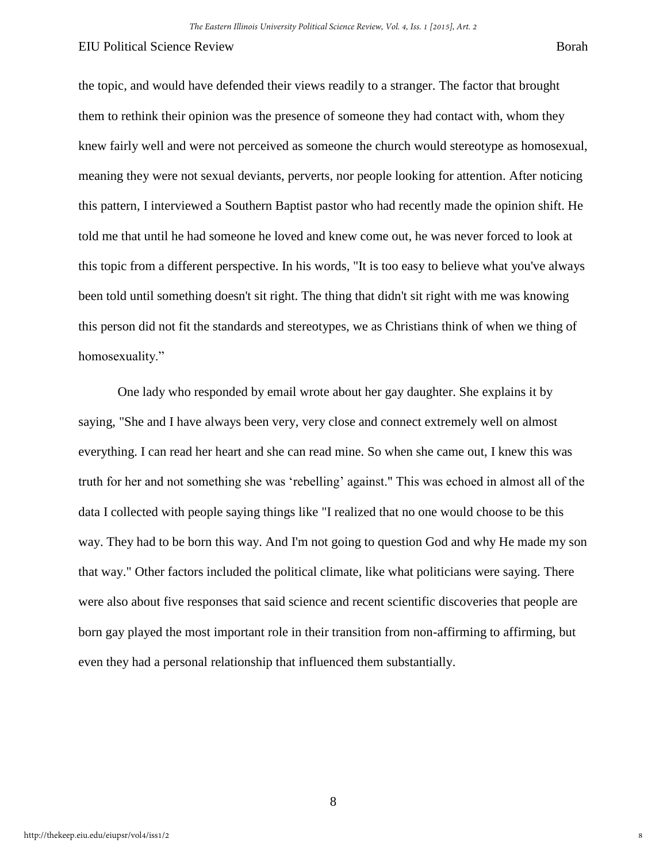the topic, and would have defended their views readily to a stranger. The factor that brought them to rethink their opinion was the presence of someone they had contact with, whom they knew fairly well and were not perceived as someone the church would stereotype as homosexual, meaning they were not sexual deviants, perverts, nor people looking for attention. After noticing this pattern, I interviewed a Southern Baptist pastor who had recently made the opinion shift. He told me that until he had someone he loved and knew come out, he was never forced to look at this topic from a different perspective. In his words, "It is too easy to believe what you've always been told until something doesn't sit right. The thing that didn't sit right with me was knowing this person did not fit the standards and stereotypes, we as Christians think of when we thing of homosexuality."

One lady who responded by email wrote about her gay daughter. She explains it by saying, "She and I have always been very, very close and connect extremely well on almost everything. I can read her heart and she can read mine. So when she came out, I knew this was truth for her and not something she was 'rebelling' against." This was echoed in almost all of the data I collected with people saying things like "I realized that no one would choose to be this way. They had to be born this way. And I'm not going to question God and why He made my son that way." Other factors included the political climate, like what politicians were saying. There were also about five responses that said science and recent scientific discoveries that people are born gay played the most important role in their transition from non-affirming to affirming, but even they had a personal relationship that influenced them substantially.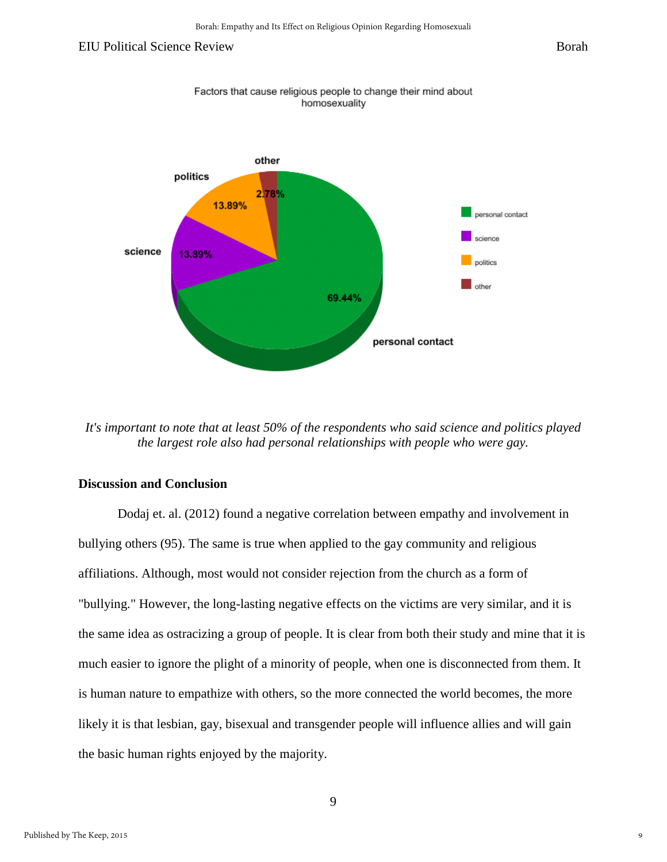

*It's important to note that at least 50% of the respondents who said science and politics played the largest role also had personal relationships with people who were gay.* 

#### **Discussion and Conclusion**

Dodaj et. al. (2012) found a negative correlation between empathy and involvement in bullying others (95). The same is true when applied to the gay community and religious affiliations. Although, most would not consider rejection from the church as a form of "bullying." However, the long-lasting negative effects on the victims are very similar, and it is the same idea as ostracizing a group of people. It is clear from both their study and mine that it is much easier to ignore the plight of a minority of people, when one is disconnected from them. It is human nature to empathize with others, so the more connected the world becomes, the more likely it is that lesbian, gay, bisexual and transgender people will influence allies and will gain the basic human rights enjoyed by the majority.